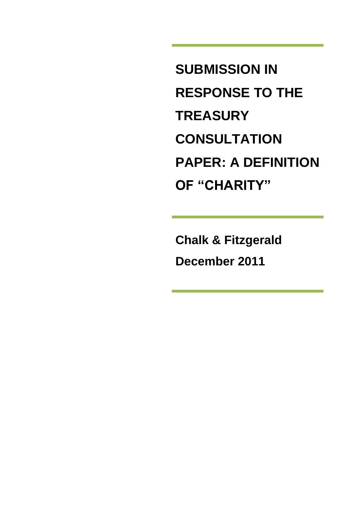**SUBMISSION IN RESPONSE TO THE TREASURY CONSULTATION PAPER: A DEFINITION OF "CHARITY"**

**Chalk & Fitzgerald December 2011**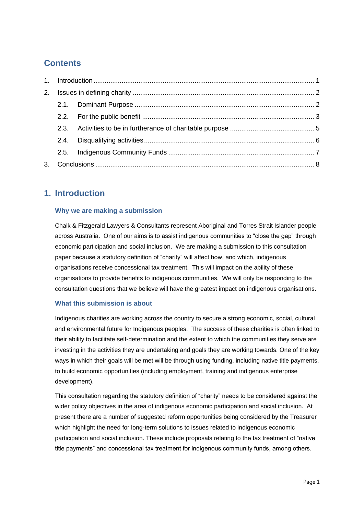# **Contents**

| 2. |  |  |  |
|----|--|--|--|
|    |  |  |  |
|    |  |  |  |
|    |  |  |  |
|    |  |  |  |
|    |  |  |  |
|    |  |  |  |

# <span id="page-1-0"></span>**1. Introduction**

### **Why we are making a submission**

Chalk & Fitzgerald Lawyers & Consultants represent Aboriginal and Torres Strait Islander people across Australia. One of our aims is to assist indigenous communities to "close the gap" through economic participation and social inclusion. We are making a submission to this consultation paper because a statutory definition of "charity" will affect how, and which, indigenous organisations receive concessional tax treatment. This will impact on the ability of these organisations to provide benefits to indigenous communities. We will only be responding to the consultation questions that we believe will have the greatest impact on indigenous organisations.

### **What this submission is about**

Indigenous charities are working across the country to secure a strong economic, social, cultural and environmental future for Indigenous peoples. The success of these charities is often linked to their ability to facilitate self-determination and the extent to which the communities they serve are investing in the activities they are undertaking and goals they are working towards. One of the key ways in which their goals will be met will be through using funding, including native title payments, to build economic opportunities (including employment, training and indigenous enterprise development).

This consultation regarding the statutory definition of "charity" needs to be considered against the wider policy objectives in the area of indigenous economic participation and social inclusion. At present there are a number of suggested reform opportunities being considered by the Treasurer which highlight the need for long-term solutions to issues related to indigenous economic participation and social inclusion. These include proposals relating to the tax treatment of "native title payments" and concessional tax treatment for indigenous community funds, among others.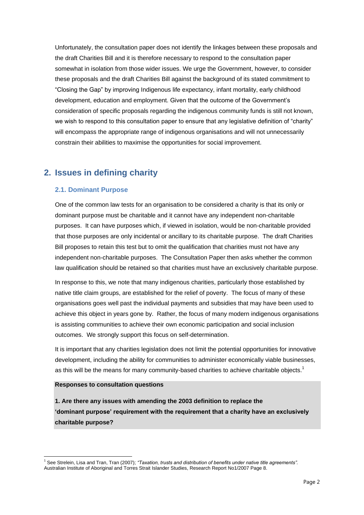Unfortunately, the consultation paper does not identify the linkages between these proposals and the draft Charities Bill and it is therefore necessary to respond to the consultation paper somewhat in isolation from those wider issues. We urge the Government, however, to consider these proposals and the draft Charities Bill against the background of its stated commitment to "Closing the Gap" by improving Indigenous life expectancy, infant mortality, early childhood development, education and employment. Given that the outcome of the Government's consideration of specific proposals regarding the indigenous community funds is still not known, we wish to respond to this consultation paper to ensure that any legislative definition of "charity" will encompass the appropriate range of indigenous organisations and will not unnecessarily constrain their abilities to maximise the opportunities for social improvement.

# <span id="page-2-0"></span>**2. Issues in defining charity**

### <span id="page-2-1"></span>**2.1. Dominant Purpose**

One of the common law tests for an organisation to be considered a charity is that its only or dominant purpose must be charitable and it cannot have any independent non-charitable purposes. It can have purposes which, if viewed in isolation, would be non-charitable provided that those purposes are only incidental or ancillary to its charitable purpose. The draft Charities Bill proposes to retain this test but to omit the qualification that charities must not have any independent non-charitable purposes. The Consultation Paper then asks whether the common law qualification should be retained so that charities must have an exclusively charitable purpose.

In response to this, we note that many indigenous charities, particularly those established by native title claim groups, are established for the relief of poverty. The focus of many of these organisations goes well past the individual payments and subsidies that may have been used to achieve this object in years gone by. Rather, the focus of many modern indigenous organisations is assisting communities to achieve their own economic participation and social inclusion outcomes. We strongly support this focus on self-determination.

It is important that any charities legislation does not limit the potential opportunities for innovative development, including the ability for communities to administer economically viable businesses, as this will be the means for many community-based charities to achieve charitable objects.<sup>1</sup>

### **Responses to consultation questions**

**1. Are there any issues with amending the 2003 definition to replace the 'dominant purpose' requirement with the requirement that a charity have an exclusively charitable purpose?**

 $\overline{a}$ <sup>1</sup> See Strelein, Lisa and Tran, Tran (2007); "Taxation, trusts and distribution of benefits under native title agreements". Australian Institute of Aboriginal and Torres Strait Islander Studies, Research Report No1/2007 Page 8.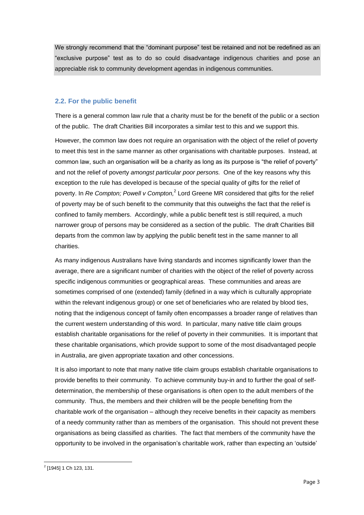We strongly recommend that the "dominant purpose" test be retained and not be redefined as an "exclusive purpose" test as to do so could disadvantage indigenous charities and pose an appreciable risk to community development agendas in indigenous communities.

### <span id="page-3-0"></span>**2.2. For the public benefit**

There is a general common law rule that a charity must be for the benefit of the public or a section of the public. The draft Charities Bill incorporates a similar test to this and we support this.

However, the common law does not require an organisation with the object of the relief of poverty to meet this test in the same manner as other organisations with charitable purposes. Instead, at common law, such an organisation will be a charity as long as its purpose is "the relief of poverty" and not the relief of poverty *amongst particular poor persons.* One of the key reasons why this exception to the rule has developed is because of the special quality of gifts for the relief of poverty. In *Re Compton; Powell v Compton,* 2 Lord Greene MR considered that gifts for the relief of poverty may be of such benefit to the community that this outweighs the fact that the relief is confined to family members. Accordingly, while a public benefit test is still required, a much narrower group of persons may be considered as a section of the public. The draft Charities Bill departs from the common law by applying the public benefit test in the same manner to all charities.

As many indigenous Australians have living standards and incomes significantly lower than the average, there are a significant number of charities with the object of the relief of poverty across specific indigenous communities or geographical areas. These communities and areas are sometimes comprised of one (extended) family (defined in a way which is culturally appropriate within the relevant indigenous group) or one set of beneficiaries who are related by blood ties, noting that the indigenous concept of family often encompasses a broader range of relatives than the current western understanding of this word. In particular, many native title claim groups establish charitable organisations for the relief of poverty in their communities. It is important that these charitable organisations, which provide support to some of the most disadvantaged people in Australia, are given appropriate taxation and other concessions.

It is also important to note that many native title claim groups establish charitable organisations to provide benefits to their community. To achieve community buy-in and to further the goal of selfdetermination, the membership of these organisations is often open to the adult members of the community. Thus, the members and their children will be the people benefiting from the charitable work of the organisation – although they receive benefits in their capacity as members of a needy community rather than as members of the organisation. This should not prevent these organisations as being classified as charities. The fact that members of the community have the opportunity to be involved in the organisation's charitable work, rather than expecting an 'outside'

 2 [1945] 1 Ch 123, 131.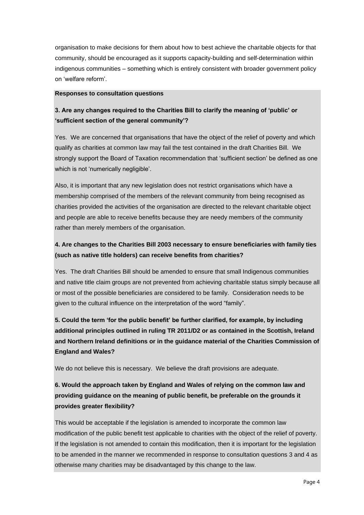organisation to make decisions for them about how to best achieve the charitable objects for that community, should be encouraged as it supports capacity-building and self-determination within indigenous communities – something which is entirely consistent with broader government policy on 'welfare reform'.

### **Responses to consultation questions**

## **3. Are any changes required to the Charities Bill to clarify the meaning of 'public' or 'sufficient section of the general community'?**

Yes. We are concerned that organisations that have the object of the relief of poverty and which qualify as charities at common law may fail the test contained in the draft Charities Bill. We strongly support the Board of Taxation recommendation that 'sufficient section' be defined as one which is not 'numerically negligible'.

Also, it is important that any new legislation does not restrict organisations which have a membership comprised of the members of the relevant community from being recognised as charities provided the activities of the organisation are directed to the relevant charitable object and people are able to receive benefits because they are needy members of the community rather than merely members of the organisation.

## **4. Are changes to the Charities Bill 2003 necessary to ensure beneficiaries with family ties (such as native title holders) can receive benefits from charities?**

Yes. The draft Charities Bill should be amended to ensure that small Indigenous communities and native title claim groups are not prevented from achieving charitable status simply because all or most of the possible beneficiaries are considered to be family. Consideration needs to be given to the cultural influence on the interpretation of the word "family".

**5. Could the term 'for the public benefit' be further clarified, for example, by including additional principles outlined in ruling TR 2011/D2 or as contained in the Scottish, Ireland and Northern Ireland definitions or in the guidance material of the Charities Commission of England and Wales?** 

We do not believe this is necessary. We believe the draft provisions are adequate.

## **6. Would the approach taken by England and Wales of relying on the common law and providing guidance on the meaning of public benefit, be preferable on the grounds it provides greater flexibility?**

This would be acceptable if the legislation is amended to incorporate the common law modification of the public benefit test applicable to charities with the object of the relief of poverty. If the legislation is not amended to contain this modification, then it is important for the legislation to be amended in the manner we recommended in response to consultation questions 3 and 4 as otherwise many charities may be disadvantaged by this change to the law.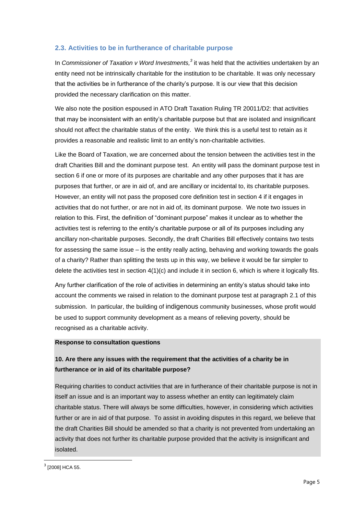### <span id="page-5-0"></span>**2.3. Activities to be in furtherance of charitable purpose**

In *Commissioner of Taxation v Word Investments,<sup>3</sup>* it was held that the activities undertaken by an entity need not be intrinsically charitable for the institution to be charitable. It was only necessary that the activities be in furtherance of the charity's purpose. It is our view that this decision provided the necessary clarification on this matter.

We also note the position espoused in ATO Draft Taxation Ruling TR 20011/D2: that activities that may be inconsistent with an entity's charitable purpose but that are isolated and insignificant should not affect the charitable status of the entity. We think this is a useful test to retain as it provides a reasonable and realistic limit to an entity's non-charitable activities.

Like the Board of Taxation, we are concerned about the tension between the activities test in the draft Charities Bill and the dominant purpose test. An entity will pass the dominant purpose test in section 6 if one or more of its purposes are charitable and any other purposes that it has are purposes that further, or are in aid of, and are ancillary or incidental to, its charitable purposes. However, an entity will not pass the proposed core definition test in section 4 if it engages in activities that do not further, or are not in aid of, its dominant purpose. We note two issues in relation to this. First, the definition of "dominant purpose" makes it unclear as to whether the activities test is referring to the entity's charitable purpose or all of its purposes including any ancillary non-charitable purposes. Secondly, the draft Charities Bill effectively contains two tests for assessing the same issue – is the entity really acting, behaving and working towards the goals of a charity? Rather than splitting the tests up in this way, we believe it would be far simpler to delete the activities test in section 4(1)(c) and include it in section 6, which is where it logically fits.

Any further clarification of the role of activities in determining an entity's status should take into account the comments we raised in relation to the dominant purpose test at paragraph 2.1 of this submission. In particular, the building of indigenous community businesses, whose profit would be used to support community development as a means of relieving poverty, should be recognised as a charitable activity.

#### **Response to consultation questions**

## **10. Are there any issues with the requirement that the activities of a charity be in furtherance or in aid of its charitable purpose?**

Requiring charities to conduct activities that are in furtherance of their charitable purpose is not in itself an issue and is an important way to assess whether an entity can legitimately claim charitable status. There will always be some difficulties, however, in considering which activities further or are in aid of that purpose. To assist in avoiding disputes in this regard, we believe that the draft Charities Bill should be amended so that a charity is not prevented from undertaking an activity that does not further its charitable purpose provided that the activity is insignificant and isolated.

**<sup>.</sup>**  $3$  [2008] HCA 55.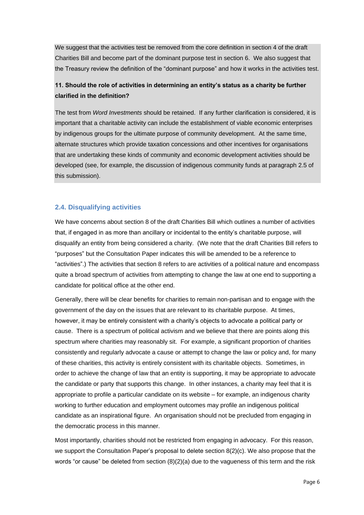We suggest that the activities test be removed from the core definition in section 4 of the draft Charities Bill and become part of the dominant purpose test in section 6. We also suggest that the Treasury review the definition of the "dominant purpose" and how it works in the activities test.

## **11. Should the role of activities in determining an entity's status as a charity be further clarified in the definition?**

The test from *Word Investments* should be retained. If any further clarification is considered, it is important that a charitable activity can include the establishment of viable economic enterprises by indigenous groups for the ultimate purpose of community development. At the same time, alternate structures which provide taxation concessions and other incentives for organisations that are undertaking these kinds of community and economic development activities should be developed (see, for example, the discussion of indigenous community funds at paragraph 2.5 of this submission).

### <span id="page-6-0"></span>**2.4. Disqualifying activities**

We have concerns about section 8 of the draft Charities Bill which outlines a number of activities that, if engaged in as more than ancillary or incidental to the entity's charitable purpose, will disqualify an entity from being considered a charity. (We note that the draft Charities Bill refers to "purposes" but the Consultation Paper indicates this will be amended to be a reference to "activities".) The activities that section 8 refers to are activities of a political nature and encompass quite a broad spectrum of activities from attempting to change the law at one end to supporting a candidate for political office at the other end.

Generally, there will be clear benefits for charities to remain non-partisan and to engage with the government of the day on the issues that are relevant to its charitable purpose. At times, however, it may be entirely consistent with a charity's objects to advocate a political party or cause. There is a spectrum of political activism and we believe that there are points along this spectrum where charities may reasonably sit. For example, a significant proportion of charities consistently and regularly advocate a cause or attempt to change the law or policy and, for many of these charities, this activity is entirely consistent with its charitable objects. Sometimes, in order to achieve the change of law that an entity is supporting, it may be appropriate to advocate the candidate or party that supports this change. In other instances, a charity may feel that it is appropriate to profile a particular candidate on its website – for example, an indigenous charity working to further education and employment outcomes may profile an indigenous political candidate as an inspirational figure. An organisation should not be precluded from engaging in the democratic process in this manner.

Most importantly, charities should not be restricted from engaging in advocacy. For this reason, we support the Consultation Paper's proposal to delete section 8(2)(c). We also propose that the words "or cause" be deleted from section  $(8)(2)(a)$  due to the vagueness of this term and the risk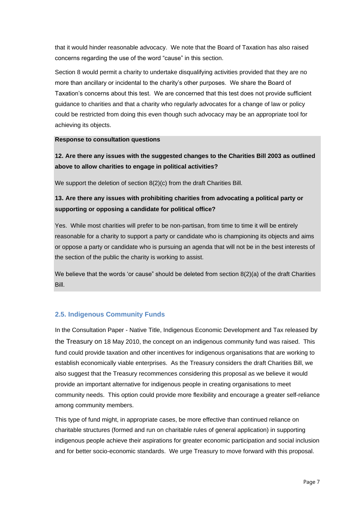that it would hinder reasonable advocacy. We note that the Board of Taxation has also raised concerns regarding the use of the word "cause" in this section.

Section 8 would permit a charity to undertake disqualifying activities provided that they are no more than ancillary or incidental to the charity's other purposes. We share the Board of Taxation's concerns about this test. We are concerned that this test does not provide sufficient guidance to charities and that a charity who regularly advocates for a change of law or policy could be restricted from doing this even though such advocacy may be an appropriate tool for achieving its objects.

### **Response to consultation questions**

**12. Are there any issues with the suggested changes to the Charities Bill 2003 as outlined above to allow charities to engage in political activities?** 

We support the deletion of section 8(2)(c) from the draft Charities Bill.

## **13. Are there any issues with prohibiting charities from advocating a political party or supporting or opposing a candidate for political office?**

Yes. While most charities will prefer to be non-partisan, from time to time it will be entirely reasonable for a charity to support a party or candidate who is championing its objects and aims or oppose a party or candidate who is pursuing an agenda that will not be in the best interests of the section of the public the charity is working to assist.

We believe that the words 'or cause" should be deleted from section 8(2)(a) of the draft Charities Bill.

### <span id="page-7-0"></span>**2.5. Indigenous Community Funds**

In the Consultation Paper - Native Title, Indigenous Economic Development and Tax released by the Treasury on 18 May 2010, the concept on an indigenous community fund was raised. This fund could provide taxation and other incentives for indigenous organisations that are working to establish economically viable enterprises. As the Treasury considers the draft Charities Bill, we also suggest that the Treasury recommences considering this proposal as we believe it would provide an important alternative for indigenous people in creating organisations to meet community needs. This option could provide more flexibility and encourage a greater self-reliance among community members.

This type of fund might, in appropriate cases, be more effective than continued reliance on charitable structures (formed and run on charitable rules of general application) in supporting indigenous people achieve their aspirations for greater economic participation and social inclusion and for better socio-economic standards. We urge Treasury to move forward with this proposal.